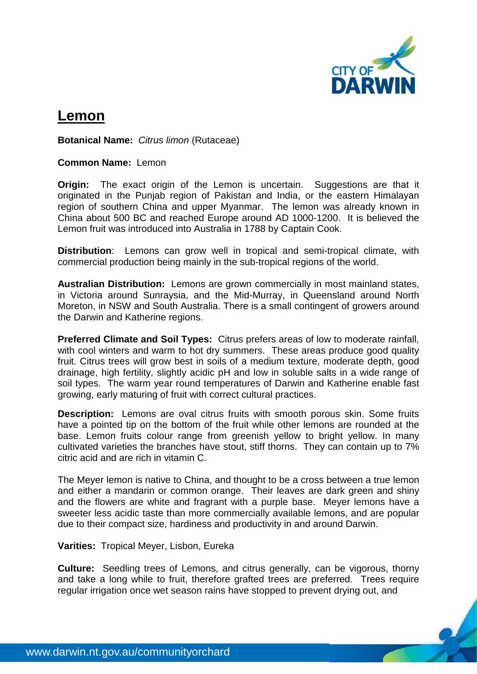

## **Lemon**

**Botanical Name:** *Citrus limon* (Rutaceae)

## **Common Name:** Lemon

**Origin:** The exact origin of the Lemon is uncertain. Suggestions are that it originated in the Punjab region of Pakistan and India, or the eastern Himalayan region of southern China and upper Myanmar. The lemon was already known in China about 500 BC and reached Europe around AD 1000-1200. It is believed the Lemon fruit was introduced into Australia in 1788 by Captain Cook.

**Distribution:** Lemons can grow well in tropical and semi-tropical climate, with commercial production being mainly in the sub-tropical regions of the world.

**Australian Distribution:** Lemons are grown commercially in most mainland states, in Victoria around Sunraysia, and the Mid-Murray, in Queensland around North Moreton, in NSW and South Australia. There is a small contingent of growers around the Darwin and Katherine regions.

**Preferred Climate and Soil Types:** Citrus prefers areas of low to moderate rainfall, with cool winters and warm to hot dry summers. These areas produce good quality fruit. Citrus trees will grow best in soils of a medium texture, moderate depth, good drainage, high fertility, slightly acidic pH and low in soluble salts in a wide range of soil types. The warm year round temperatures of Darwin and Katherine enable fast growing, early maturing of fruit with correct cultural practices.

**Description:** Lemons are oval citrus fruits with smooth porous skin. Some fruits have a pointed tip on the bottom of the fruit while other lemons are rounded at the base. Lemon fruits colour range from greenish yellow to bright yellow. In many cultivated varieties the branches have stout, stiff thorns. They can contain up to 7% citric acid and are rich in vitamin C.

The Meyer lemon is native to China, and thought to be a cross between a true lemon and either a mandarin or common orange. Their leaves are dark green and shiny and the flowers are white and fragrant with a purple base. Meyer lemons have a sweeter less acidic taste than more commercially available lemons, and are popular due to their compact size, hardiness and productivity in and around Darwin.

**Varities:** Tropical Meyer, Lisbon, Eureka

**Culture:** Seedling trees of Lemons, and citrus generally, can be vigorous, thorny and take a long while to fruit, therefore grafted trees are preferred. Trees require regular irrigation once wet season rains have stopped to prevent drying out, and